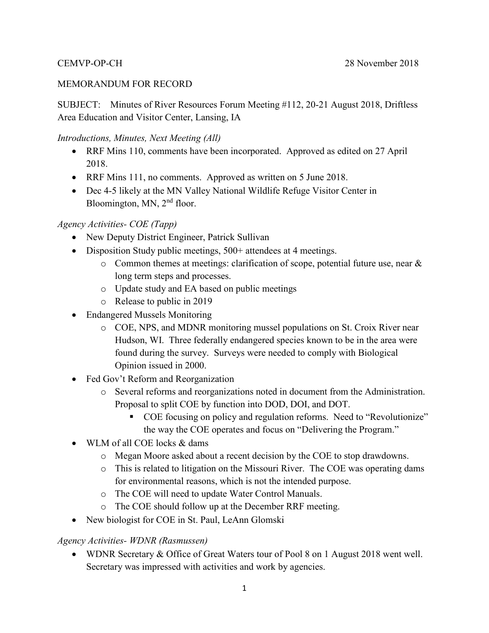#### MEMORANDUM FOR RECORD

SUBJECT: Minutes of River Resources Forum Meeting #112, 20-21 August 2018, Driftless Area Education and Visitor Center, Lansing, IA

#### *Introductions, Minutes, Next Meeting (All)*

- RRF Mins 110, comments have been incorporated. Approved as edited on 27 April 2018.
- RRF Mins 111, no comments. Approved as written on 5 June 2018.
- Dec 4-5 likely at the MN Valley National Wildlife Refuge Visitor Center in Bloomington, MN, 2<sup>nd</sup> floor.

### *Agency Activities- COE (Tapp)*

- New Deputy District Engineer, Patrick Sullivan
- Disposition Study public meetings, 500+ attendees at 4 meetings.
	- o Common themes at meetings: clarification of scope, potential future use, near & long term steps and processes.
	- o Update study and EA based on public meetings
	- o Release to public in 2019
- Endangered Mussels Monitoring
	- o COE, NPS, and MDNR monitoring mussel populations on St. Croix River near Hudson, WI. Three federally endangered species known to be in the area were found during the survey. Surveys were needed to comply with Biological Opinion issued in 2000.
- Fed Gov't Reform and Reorganization
	- o Several reforms and reorganizations noted in document from the Administration. Proposal to split COE by function into DOD, DOI, and DOT.
		- COE focusing on policy and regulation reforms. Need to "Revolutionize" the way the COE operates and focus on "Delivering the Program."
- WLM of all COE locks & dams
	- o Megan Moore asked about a recent decision by the COE to stop drawdowns.
	- o This is related to litigation on the Missouri River. The COE was operating dams for environmental reasons, which is not the intended purpose.
	- o The COE will need to update Water Control Manuals.
	- o The COE should follow up at the December RRF meeting.
- New biologist for COE in St. Paul, LeAnn Glomski

### *Agency Activities- WDNR (Rasmussen)*

• WDNR Secretary & Office of Great Waters tour of Pool 8 on 1 August 2018 went well. Secretary was impressed with activities and work by agencies.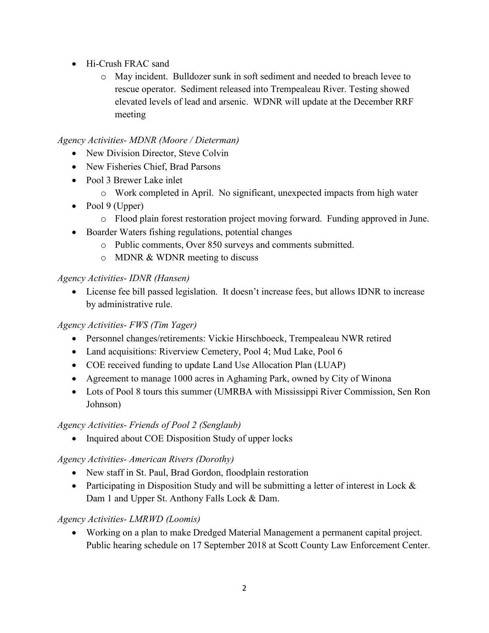- Hi-Crush FRAC sand
	- o May incident. Bulldozer sunk in soft sediment and needed to breach levee to rescue operator. Sediment released into Trempealeau River. Testing showed elevated levels of lead and arsenic. WDNR will update at the December RRF meeting

# *Agency Activities- MDNR (Moore / Dieterman)*

- New Division Director, Steve Colvin
- New Fisheries Chief, Brad Parsons
- Pool 3 Brewer Lake inlet
	- o Work completed in April. No significant, unexpected impacts from high water
- Pool 9 (Upper)
	- o Flood plain forest restoration project moving forward. Funding approved in June.
- Boarder Waters fishing regulations, potential changes
	- o Public comments, Over 850 surveys and comments submitted.
	- o MDNR & WDNR meeting to discuss

# *Agency Activities- IDNR (Hansen)*

• License fee bill passed legislation. It doesn't increase fees, but allows IDNR to increase by administrative rule.

# *Agency Activities- FWS (Tim Yager)*

- Personnel changes/retirements: Vickie Hirschboeck, Trempealeau NWR retired
- Land acquisitions: Riverview Cemetery, Pool 4; Mud Lake, Pool 6
- COE received funding to update Land Use Allocation Plan (LUAP)
- Agreement to manage 1000 acres in Aghaming Park, owned by City of Winona
- Lots of Pool 8 tours this summer (UMRBA with Mississippi River Commission, Sen Ron Johnson)

# *Agency Activities- Friends of Pool 2 (Senglaub)*

• Inquired about COE Disposition Study of upper locks

# *Agency Activities- American Rivers (Dorothy)*

- New staff in St. Paul, Brad Gordon, floodplain restoration
- Participating in Disposition Study and will be submitting a letter of interest in Lock & Dam 1 and Upper St. Anthony Falls Lock & Dam.

# *Agency Activities- LMRWD (Loomis)*

• Working on a plan to make Dredged Material Management a permanent capital project. Public hearing schedule on 17 September 2018 at Scott County Law Enforcement Center.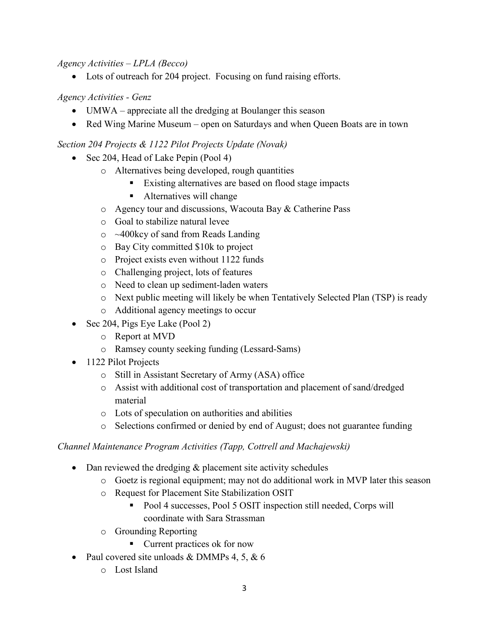#### *Agency Activities – LPLA (Becco)*

• Lots of outreach for 204 project. Focusing on fund raising efforts.

## *Agency Activities - Genz*

- UMWA appreciate all the dredging at Boulanger this season
- Red Wing Marine Museum open on Saturdays and when Queen Boats are in town

## *Section 204 Projects & 1122 Pilot Projects Update (Novak)*

- Sec 204, Head of Lake Pepin (Pool 4)
	- o Alternatives being developed, rough quantities
		- **Existing alternatives are based on flood stage impacts**
		- Alternatives will change
	- o Agency tour and discussions, Wacouta Bay & Catherine Pass
	- o Goal to stabilize natural levee
	- $\circ$  ~400 kcy of sand from Reads Landing
	- o Bay City committed \$10k to project
	- o Project exists even without 1122 funds
	- o Challenging project, lots of features
	- o Need to clean up sediment-laden waters
	- o Next public meeting will likely be when Tentatively Selected Plan (TSP) is ready
	- o Additional agency meetings to occur
- Sec 204, Pigs Eye Lake (Pool 2)
	- o Report at MVD
	- o Ramsey county seeking funding (Lessard-Sams)
- 1122 Pilot Projects
	- o Still in Assistant Secretary of Army (ASA) office
	- o Assist with additional cost of transportation and placement of sand/dredged material
	- o Lots of speculation on authorities and abilities
	- o Selections confirmed or denied by end of August; does not guarantee funding

### *Channel Maintenance Program Activities (Tapp, Cottrell and Machajewski)*

- Dan reviewed the dredging  $&$  placement site activity schedules
	- $\circ$  Goetz is regional equipment; may not do additional work in MVP later this season
	- o Request for Placement Site Stabilization OSIT
		- Pool 4 successes, Pool 5 OSIT inspection still needed, Corps will coordinate with Sara Strassman
	- o Grounding Reporting
		- **Current practices ok for now**
- Paul covered site unloads & DMMPs 4, 5, & 6
	- o Lost Island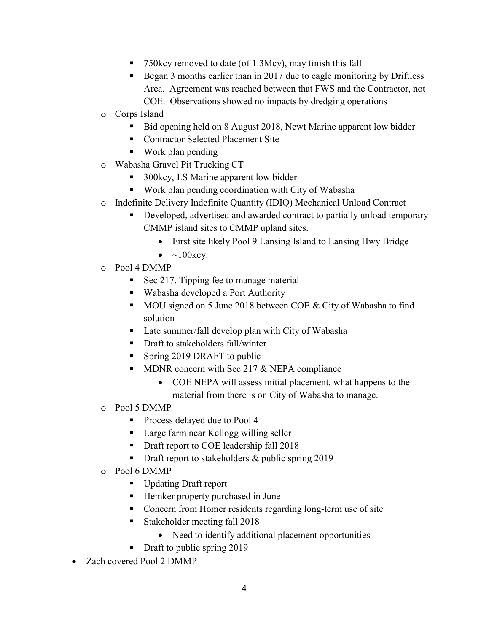- 750kcy removed to date (of 1.3Mcy), may finish this fall
- Began 3 months earlier than in 2017 due to eagle monitoring by Driftless Area. Agreement was reached between that FWS and the Contractor, not COE. Observations showed no impacts by dredging operations
- o Corps Island
	- Bid opening held on 8 August 2018, Newt Marine apparent low bidder
	- Contractor Selected Placement Site
	- Work plan pending
- o Wabasha Gravel Pit Trucking CT
	- 300kcy, LS Marine apparent low bidder
	- Work plan pending coordination with City of Wabasha
- o Indefinite Delivery Indefinite Quantity (IDIQ) Mechanical Unload Contract
	- Developed, advertised and awarded contract to partially unload temporary CMMP island sites to CMMP upland sites.
		- First site likely Pool 9 Lansing Island to Lansing Hwy Bridge
		- $\bullet$  ~100 kcy.
- o Pool 4 DMMP
	- Sec 217, Tipping fee to manage material
	- Wabasha developed a Port Authority
	- MOU signed on 5 June 2018 between COE & City of Wabasha to find solution
	- Late summer/fall develop plan with City of Wabasha
	- Draft to stakeholders fall/winter
	- **Spring 2019 DRAFT to public**
	- MDNR concern with Sec 217 & NEPA compliance
		- COE NEPA will assess initial placement, what happens to the material from there is on City of Wabasha to manage.
- o Pool 5 DMMP
	- **Process delayed due to Pool 4**
	- Large farm near Kellogg willing seller
	- Draft report to COE leadership fall 2018
	- Draft report to stakeholders & public spring 2019
- o Pool 6 DMMP
	- Updating Draft report
	- Hemker property purchased in June
	- Concern from Homer residents regarding long-term use of site
	- Stakeholder meeting fall 2018
		- Need to identify additional placement opportunities
	- Draft to public spring 2019
- Zach covered Pool 2 DMMP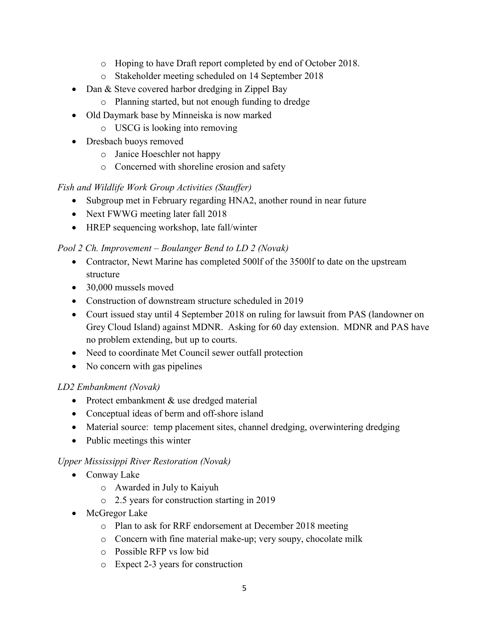- o Hoping to have Draft report completed by end of October 2018.
- o Stakeholder meeting scheduled on 14 September 2018
- Dan & Steve covered harbor dredging in Zippel Bay
	- o Planning started, but not enough funding to dredge
- Old Daymark base by Minneiska is now marked
	- o USCG is looking into removing
- Dresbach buoys removed
	- o Janice Hoeschler not happy
	- o Concerned with shoreline erosion and safety

# *Fish and Wildlife Work Group Activities (Stauffer)*

- Subgroup met in February regarding HNA2, another round in near future
- Next FWWG meeting later fall 2018
- HREP sequencing workshop, late fall/winter

# *Pool 2 Ch. Improvement – Boulanger Bend to LD 2 (Novak)*

- Contractor, Newt Marine has completed 500lf of the 3500lf to date on the upstream structure
- 30,000 mussels moved
- Construction of downstream structure scheduled in 2019
- Court issued stay until 4 September 2018 on ruling for lawsuit from PAS (landowner on Grey Cloud Island) against MDNR. Asking for 60 day extension. MDNR and PAS have no problem extending, but up to courts.
- Need to coordinate Met Council sewer outfall protection
- No concern with gas pipelines

# *LD2 Embankment (Novak)*

- Protect embankment & use dredged material
- Conceptual ideas of berm and off-shore island
- Material source: temp placement sites, channel dredging, overwintering dredging
- Public meetings this winter

# *Upper Mississippi River Restoration (Novak)*

- Conway Lake
	- o Awarded in July to Kaiyuh
	- o 2.5 years for construction starting in 2019
- McGregor Lake
	- o Plan to ask for RRF endorsement at December 2018 meeting
	- o Concern with fine material make-up; very soupy, chocolate milk
	- o Possible RFP vs low bid
	- o Expect 2-3 years for construction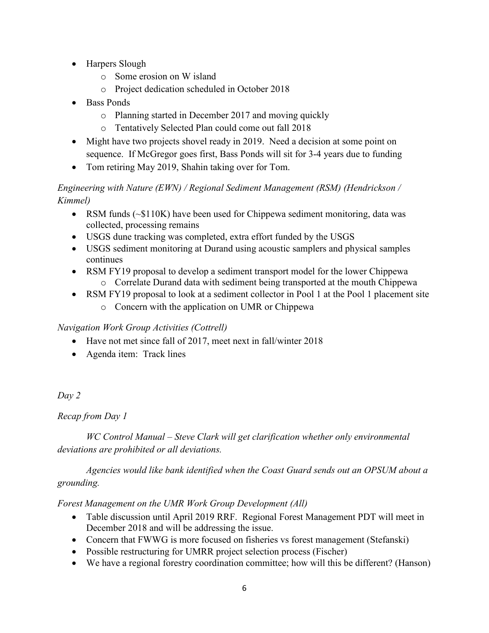- Harpers Slough
	- o Some erosion on W island
	- o Project dedication scheduled in October 2018
- Bass Ponds
	- o Planning started in December 2017 and moving quickly
	- o Tentatively Selected Plan could come out fall 2018
- Might have two projects shovel ready in 2019. Need a decision at some point on sequence. If McGregor goes first, Bass Ponds will sit for 3-4 years due to funding
- Tom retiring May 2019, Shahin taking over for Tom.

*Engineering with Nature (EWN) / Regional Sediment Management (RSM) (Hendrickson / Kimmel)*

- RSM funds ( $\sim$ \$110K) have been used for Chippewa sediment monitoring, data was collected, processing remains
- USGS dune tracking was completed, extra effort funded by the USGS
- USGS sediment monitoring at Durand using acoustic samplers and physical samples continues
- RSM FY19 proposal to develop a sediment transport model for the lower Chippewa
	- o Correlate Durand data with sediment being transported at the mouth Chippewa
- RSM FY19 proposal to look at a sediment collector in Pool 1 at the Pool 1 placement site
	- o Concern with the application on UMR or Chippewa

*Navigation Work Group Activities (Cottrell)*

- Have not met since fall of 2017, meet next in fall/winter 2018
- Agenda item: Track lines

# *Day 2*

# *Recap from Day 1*

*WC Control Manual – Steve Clark will get clarification whether only environmental deviations are prohibited or all deviations.*

*Agencies would like bank identified when the Coast Guard sends out an OPSUM about a grounding.* 

# *Forest Management on the UMR Work Group Development (All)*

- Table discussion until April 2019 RRF. Regional Forest Management PDT will meet in December 2018 and will be addressing the issue.
- Concern that FWWG is more focused on fisheries vs forest management (Stefanski)
- Possible restructuring for UMRR project selection process (Fischer)
- We have a regional forestry coordination committee; how will this be different? (Hanson)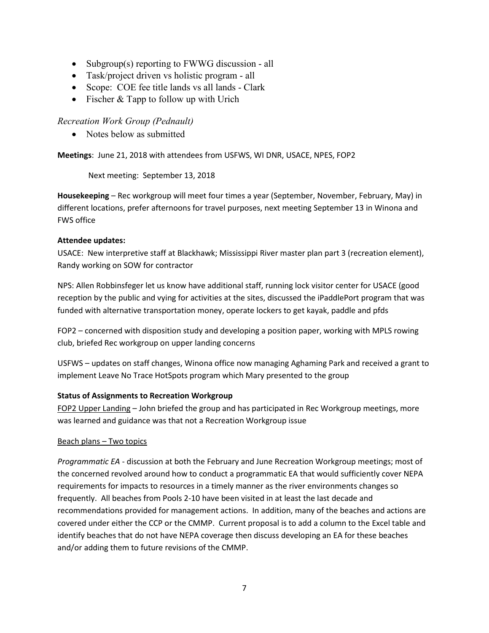- Subgroup(s) reporting to FWWG discussion all
- Task/project driven vs holistic program all
- Scope: COE fee title lands vs all lands Clark
- Fischer & Tapp to follow up with Urich

#### *Recreation Work Group (Pednault)*

• Notes below as submitted

**Meetings**: June 21, 2018 with attendees from USFWS, WI DNR, USACE, NPES, FOP2

Next meeting: September 13, 2018

**Housekeeping** – Rec workgroup will meet four times a year (September, November, February, May) in different locations, prefer afternoons for travel purposes, next meeting September 13 in Winona and FWS office

#### **Attendee updates:**

USACE: New interpretive staff at Blackhawk; Mississippi River master plan part 3 (recreation element), Randy working on SOW for contractor

NPS: Allen Robbinsfeger let us know have additional staff, running lock visitor center for USACE (good reception by the public and vying for activities at the sites, discussed the iPaddlePort program that was funded with alternative transportation money, operate lockers to get kayak, paddle and pfds

FOP2 – concerned with disposition study and developing a position paper, working with MPLS rowing club, briefed Rec workgroup on upper landing concerns

USFWS – updates on staff changes, Winona office now managing Aghaming Park and received a grant to implement Leave No Trace HotSpots program which Mary presented to the group

#### **Status of Assignments to Recreation Workgroup**

FOP2 Upper Landing – John briefed the group and has participated in Rec Workgroup meetings, more was learned and guidance was that not a Recreation Workgroup issue

#### Beach plans – Two topics

*Programmatic EA* - discussion at both the February and June Recreation Workgroup meetings; most of the concerned revolved around how to conduct a programmatic EA that would sufficiently cover NEPA requirements for impacts to resources in a timely manner as the river environments changes so frequently. All beaches from Pools 2-10 have been visited in at least the last decade and recommendations provided for management actions. In addition, many of the beaches and actions are covered under either the CCP or the CMMP. Current proposal is to add a column to the Excel table and identify beaches that do not have NEPA coverage then discuss developing an EA for these beaches and/or adding them to future revisions of the CMMP.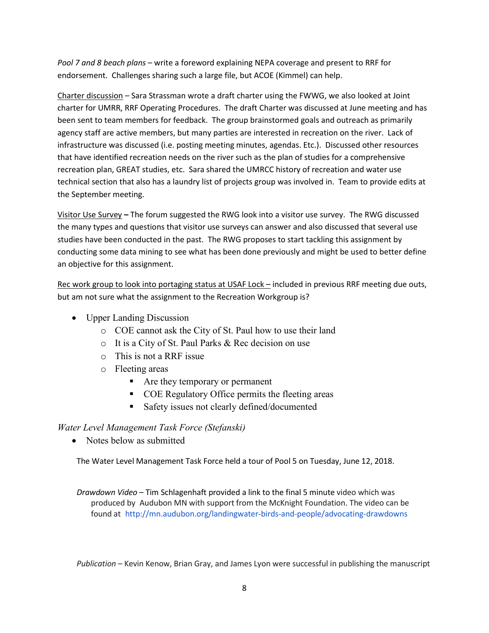*Pool 7 and 8 beach plans* – write a foreword explaining NEPA coverage and present to RRF for endorsement. Challenges sharing such a large file, but ACOE (Kimmel) can help.

Charter discussion – Sara Strassman wrote a draft charter using the FWWG, we also looked at Joint charter for UMRR, RRF Operating Procedures. The draft Charter was discussed at June meeting and has been sent to team members for feedback. The group brainstormed goals and outreach as primarily agency staff are active members, but many parties are interested in recreation on the river. Lack of infrastructure was discussed (i.e. posting meeting minutes, agendas. Etc.). Discussed other resources that have identified recreation needs on the river such as the plan of studies for a comprehensive recreation plan, GREAT studies, etc. Sara shared the UMRCC history of recreation and water use technical section that also has a laundry list of projects group was involved in. Team to provide edits at the September meeting.

Visitor Use Survey **–** The forum suggested the RWG look into a visitor use survey. The RWG discussed the many types and questions that visitor use surveys can answer and also discussed that several use studies have been conducted in the past. The RWG proposes to start tackling this assignment by conducting some data mining to see what has been done previously and might be used to better define an objective for this assignment.

Rec work group to look into portaging status at USAF Lock – included in previous RRF meeting due outs, but am not sure what the assignment to the Recreation Workgroup is?

- Upper Landing Discussion
	- o COE cannot ask the City of St. Paul how to use their land
	- o It is a City of St. Paul Parks & Rec decision on use
	- o This is not a RRF issue
	- o Fleeting areas
		- Are they temporary or permanent
		- COE Regulatory Office permits the fleeting areas
		- Safety issues not clearly defined/documented

### *Water Level Management Task Force (Stefanski)*

• Notes below as submitted

The Water Level Management Task Force held a tour of Pool 5 on Tuesday, June 12, 2018.

*Drawdown Video* – Tim Schlagenhaft provided a link to the final 5 minute video which was produced by Audubon MN with support from the McKnight Foundation. The video can be found at <http://mn.audubon.org/landingwater-birds-and-people/advocating-drawdowns>

*Publication* – Kevin Kenow, Brian Gray, and James Lyon were successful in publishing the manuscript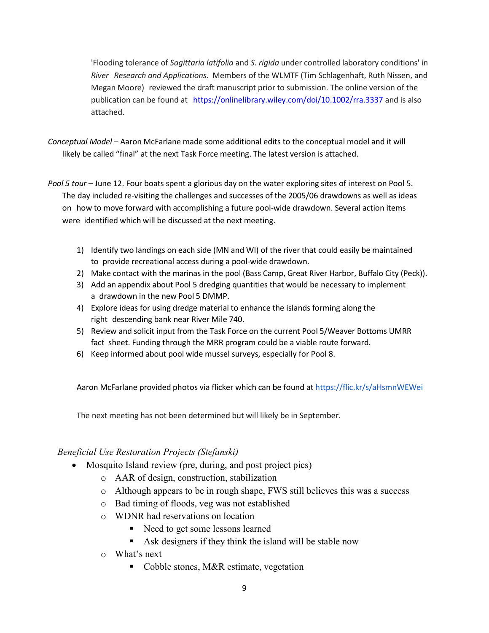'Flooding tolerance of *Sagittaria latifolia* and *S. rigida* under controlled laboratory conditions' in *River Research and Applications*. Members of the WLMTF (Tim Schlagenhaft, Ruth Nissen, and Megan Moore) reviewed the draft manuscript prior to submission. The online version of the publication can be found at <https://onlinelibrary.wiley.com/doi/10.1002/rra.3337> and is also attached.

- *Conceptual Model* Aaron McFarlane made some additional edits to the conceptual model and it will likely be called "final" at the next Task Force meeting. The latest version is attached.
- *Pool 5 tour*  June 12. Four boats spent a glorious day on the water exploring sites of interest on Pool 5. The day included re-visiting the challenges and successes of the 2005/06 drawdowns as well as ideas on how to move forward with accomplishing a future pool-wide drawdown. Several action items were identified which will be discussed at the next meeting.
	- 1) Identify two landings on each side (MN and WI) of the river that could easily be maintained to provide recreational access during a pool-wide drawdown.
	- 2) Make contact with the marinas in the pool (Bass Camp, Great River Harbor, Buffalo City (Peck)).
	- 3) Add an appendix about Pool 5 dredging quantities that would be necessary to implement a drawdown in the new Pool 5 DMMP.
	- 4) Explore ideas for using dredge material to enhance the islands forming along the right descending bank near River Mile 740.
	- 5) Review and solicit input from the Task Force on the current Pool 5/Weaver Bottoms UMRR fact sheet. Funding through the MRR program could be a viable route forward.
	- 6) Keep informed about pool wide mussel surveys, especially for Pool 8.

Aaron McFarlane provided photos via flicker which can be found at<https://flic.kr/s/aHsmnWEWei>

The next meeting has not been determined but will likely be in September.

### *Beneficial Use Restoration Projects (Stefanski)*

- Mosquito Island review (pre, during, and post project pics)
	- o AAR of design, construction, stabilization
	- o Although appears to be in rough shape, FWS still believes this was a success
	- o Bad timing of floods, veg was not established
	- o WDNR had reservations on location
		- Need to get some lessons learned
		- Ask designers if they think the island will be stable now
	- o What's next
		- Cobble stones, M&R estimate, vegetation